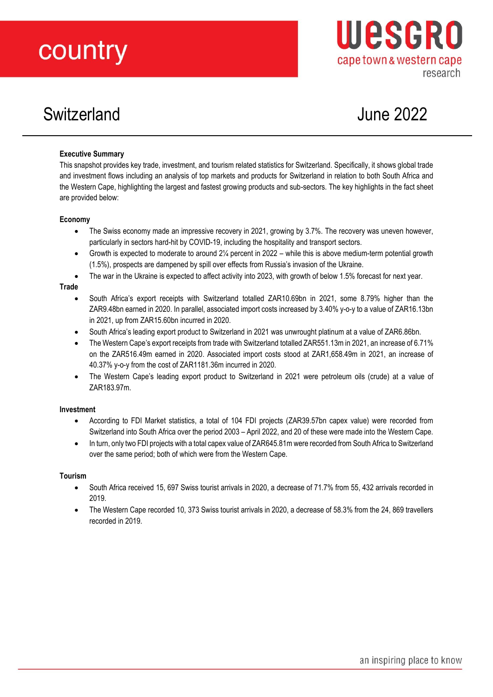# country

# Switzerland June 2022

Wesgro

cape town & western cape

research

#### **Executive Summary**

This snapshot provides key trade, investment, and tourism related statistics for Switzerland. Specifically, it shows global trade and investment flows including an analysis of top markets and products for Switzerland in relation to both South Africa and the Western Cape, highlighting the largest and fastest growing products and sub-sectors. The key highlights in the fact sheet are provided below:

#### **Economy**

- The Swiss economy made an impressive recovery in 2021, growing by 3.7%. The recovery was uneven however, particularly in sectors hard-hit by COVID-19, including the hospitality and transport sectors.
- Growth is expected to moderate to around 2¼ percent in 2022 while this is above medium-term potential growth (1.5%), prospects are dampened by spill over effects from Russia's invasion of the Ukraine.
- The war in the Ukraine is expected to affect activity into 2023, with growth of below 1.5% forecast for next year.

#### **Trade**

- South Africa's export receipts with Switzerland totalled ZAR10.69bn in 2021, some 8.79% higher than the ZAR9.48bn earned in 2020. In parallel, associated import costs increased by 3.40% y-o-y to a value of ZAR16.13bn in 2021, up from ZAR15.60bn incurred in 2020.
- South Africa's leading export product to Switzerland in 2021 was unwrought platinum at a value of ZAR6.86bn.
- The Western Cape's export receipts from trade with Switzerland totalled ZAR551.13m in 2021, an increase of 6.71% on the ZAR516.49m earned in 2020. Associated import costs stood at ZAR1,658.49m in 2021, an increase of 40.37% y-o-y from the cost of ZAR1181.36m incurred in 2020.
- The Western Cape's leading export product to Switzerland in 2021 were petroleum oils (crude) at a value of ZAR183.97m.

#### **Investment**

- According to FDI Market statistics, a total of 104 FDI projects (ZAR39.57bn capex value) were recorded from Switzerland into South Africa over the period 2003 – April 2022, and 20 of these were made into the Western Cape.
- In turn, only two FDI projects with a total capex value of ZAR645.81m were recorded from South Africa to Switzerland over the same period; both of which were from the Western Cape.

#### **Tourism**

- South Africa received 15, 697 Swiss tourist arrivals in 2020, a decrease of 71.7% from 55, 432 arrivals recorded in 2019.
- The Western Cape recorded 10, 373 Swiss tourist arrivals in 2020, a decrease of 58.3% from the 24, 869 travellers recorded in 2019.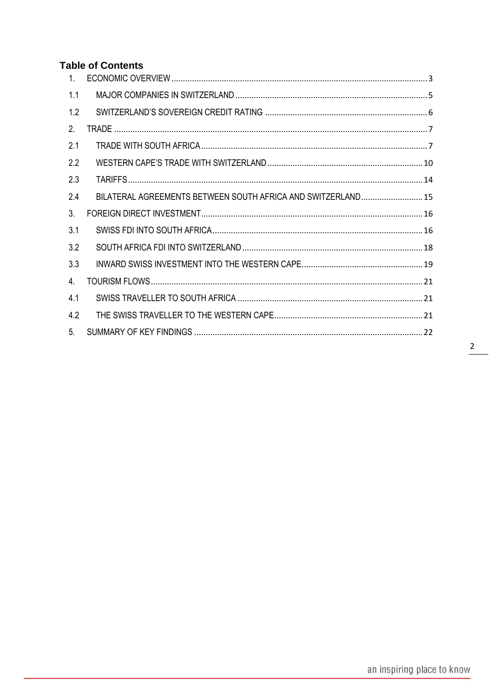# **Table of Contents**

| 1 <sub>1</sub> |                                                              |
|----------------|--------------------------------------------------------------|
| 1.1            |                                                              |
| 1.2            |                                                              |
| 2.             |                                                              |
| 2.1            |                                                              |
| 2.2            |                                                              |
| 2.3            |                                                              |
| 2.4            | BILATERAL AGREEMENTS BETWEEN SOUTH AFRICA AND SWITZERLAND 15 |
| 3 <sub>1</sub> |                                                              |
| 3.1            |                                                              |
| 3.2            |                                                              |
| 3.3            |                                                              |
| 4.             |                                                              |
| 4.1            |                                                              |
| 4.2            |                                                              |
| 5 <sub>1</sub> |                                                              |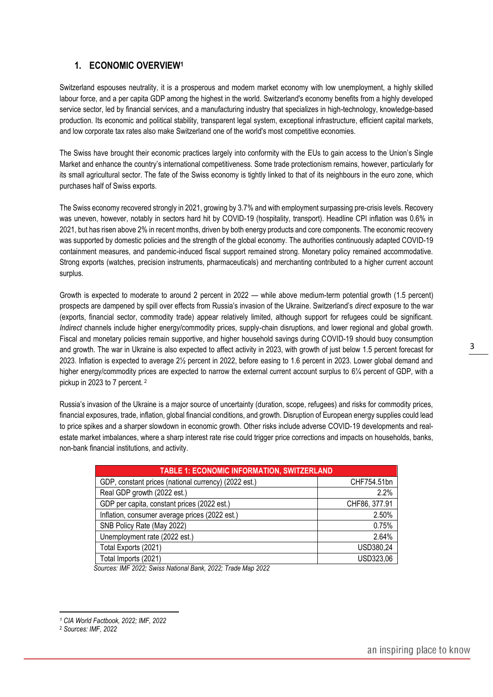# <span id="page-2-0"></span>**1. ECONOMIC OVERVIEW<sup>1</sup>**

Switzerland espouses neutrality, it is a prosperous and modern market economy with low unemployment, a highly skilled labour force, and a per capita GDP among the highest in the world. Switzerland's economy benefits from a highly developed service sector, led by financial services, and a manufacturing industry that specializes in high-technology, knowledge-based production. Its economic and political stability, transparent legal system, exceptional infrastructure, efficient capital markets, and low corporate tax rates also make Switzerland one of the world's most competitive economies.

The Swiss have brought their economic practices largely into conformity with the EUs to gain access to the Union's Single Market and enhance the country's international competitiveness. Some trade protectionism remains, however, particularly for its small agricultural sector. The fate of the Swiss economy is tightly linked to that of its neighbours in the euro zone, which purchases half of Swiss exports.

The Swiss economy recovered strongly in 2021, growing by 3.7% and with employment surpassing pre-crisis levels. Recovery was uneven, however, notably in sectors hard hit by COVID-19 (hospitality, transport). Headline CPI inflation was 0.6% in 2021, but has risen above 2% in recent months, driven by both energy products and core components. The economic recovery was supported by domestic policies and the strength of the global economy. The authorities continuously adapted COVID-19 containment measures, and pandemic-induced fiscal support remained strong. Monetary policy remained accommodative. Strong exports (watches, precision instruments, pharmaceuticals) and merchanting contributed to a higher current account surplus.

Growth is expected to moderate to around 2 percent in 2022 — while above medium-term potential growth (1.5 percent) prospects are dampened by spill over effects from Russia's invasion of the Ukraine. Switzerland's *direct* exposure to the war (exports, financial sector, commodity trade) appear relatively limited, although support for refugees could be significant. *Indirect* channels include higher energy/commodity prices, supply-chain disruptions, and lower regional and global growth. Fiscal and monetary policies remain supportive, and higher household savings during COVID-19 should buoy consumption and growth. The war in Ukraine is also expected to affect activity in 2023, with growth of just below 1.5 percent forecast for 2023. Inflation is expected to average 2½ percent in 2022, before easing to 1.6 percent in 2023. Lower global demand and higher energy/commodity prices are expected to narrow the external current account surplus to 6¼ percent of GDP, with a pickup in 2023 to 7 percent. <sup>2</sup>

Russia's invasion of the Ukraine is a major source of uncertainty (duration, scope, refugees) and risks for commodity prices, financial exposures, trade, inflation, global financial conditions, and growth. Disruption of European energy supplies could lead to price spikes and a sharper slowdown in economic growth. Other risks include adverse COVID-19 developments and realestate market imbalances, where a sharp interest rate rise could trigger price corrections and impacts on households, banks, non-bank financial institutions, and activity.

| <b>TABLE 1: ECONOMIC INFORMATION, SWITZERLAND</b>    |               |  |  |  |  |
|------------------------------------------------------|---------------|--|--|--|--|
| GDP, constant prices (national currency) (2022 est.) | CHF754.51bn   |  |  |  |  |
| Real GDP growth (2022 est.)                          | 2.2%          |  |  |  |  |
| GDP per capita, constant prices (2022 est.)          | CHF86, 377.91 |  |  |  |  |
| Inflation, consumer average prices (2022 est.)       | 2.50%         |  |  |  |  |
| SNB Policy Rate (May 2022)                           | 0.75%         |  |  |  |  |
| Unemployment rate (2022 est.)                        | 2.64%         |  |  |  |  |
| Total Exports (2021)                                 | USD380,24     |  |  |  |  |
| Total Imports (2021)                                 | USD323,06     |  |  |  |  |

 *Sources: IMF 2022; Swiss National Bank, 2022; Trade Map 2022*

3

*<sup>1</sup> CIA World Factbook, 2022; IMF, 2022*

<sup>2</sup> *Sources: IMF, 2022*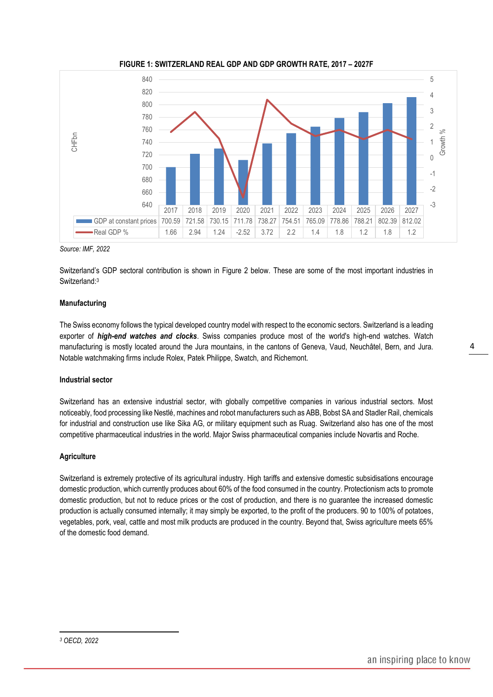

**FIGURE 1: SWITZERLAND REAL GDP AND GDP GROWTH RATE, 2017 – 2027F**

*Source: IMF, 2022*

Switzerland's GDP sectoral contribution is shown in Figure 2 below. These are some of the most important industries in Switzerland: 3

#### **Manufacturing**

The Swiss economy follows the typical developed country model with respect to the economic sectors. Switzerland is a leading exporter of *high-end watches and clocks*. Swiss companies produce most of the world's high-end watches. Watch manufacturing is mostly located around the Jura mountains, in the cantons of Geneva, Vaud, Neuchâtel, Bern, and Jura. Notable watchmaking firms include Rolex, Patek Philippe, Swatch, and Richemont.

#### **Industrial sector**

Switzerland has an extensive industrial sector, with globally competitive companies in various industrial sectors. Most noticeably, food processing like Nestlé, machines and robot manufacturers such as ABB, Bobst SA and Stadler Rail, chemicals for industrial and construction use like Sika AG, or military equipment such as Ruag. Switzerland also has one of the most competitive pharmaceutical industries in the world. Major Swiss pharmaceutical companies include Novartis and Roche.

#### **Agriculture**

Switzerland is extremely protective of its agricultural industry. High tariffs and extensive domestic subsidisations encourage domestic production, which currently produces about 60% of the food consumed in the country. Protectionism acts to promote domestic production, but not to reduce prices or the cost of production, and there is no guarantee the increased domestic production is actually consumed internally; it may simply be exported, to the profit of the producers. 90 to 100% of potatoes, vegetables, pork, veal, cattle and most milk products are produced in the country. Beyond that, Swiss agriculture meets 65% of the domestic food demand.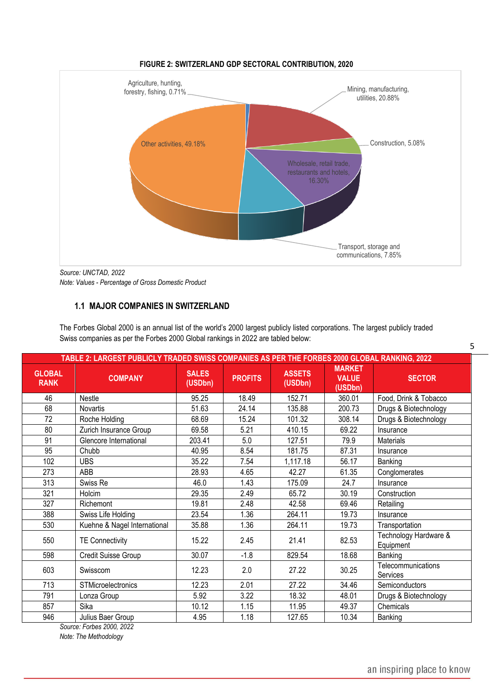

#### **FIGURE 2: SWITZERLAND GDP SECTORAL CONTRIBUTION, 2020**

*Note: Values - Percentage of Gross Domestic Product*

# <span id="page-4-0"></span>**1.1 MAJOR COMPANIES IN SWITZERLAND**

The Forbes Global 2000 is an annual list of the world's 2000 largest publicly listed corporations. The largest publicly traded Swiss companies as per the Forbes 2000 Global rankings in 2022 are tabled below:

| TABLE 2: LARGEST PUBLICLY TRADED SWISS COMPANIES AS PER THE FORBES 2000 GLOBAL RANKING, 2022 |                              |                         |                |                          |                                          |                                    |  |
|----------------------------------------------------------------------------------------------|------------------------------|-------------------------|----------------|--------------------------|------------------------------------------|------------------------------------|--|
| <b>GLOBAL</b><br><b>RANK</b>                                                                 | <b>COMPANY</b>               | <b>SALES</b><br>(USDbn) | <b>PROFITS</b> | <b>ASSETS</b><br>(USDbn) | <b>MARKET</b><br><b>VALUE</b><br>(USDbn) | <b>SECTOR</b>                      |  |
| 46                                                                                           | <b>Nestle</b>                | 95.25                   | 18.49          | 152.71                   | 360.01                                   | Food, Drink & Tobacco              |  |
| 68                                                                                           | Novartis                     | 51.63                   | 24.14          | 135.88                   | 200.73                                   | Drugs & Biotechnology              |  |
| 72                                                                                           | Roche Holding                | 68.69                   | 15.24          | 101.32                   | 308.14                                   | Drugs & Biotechnology              |  |
| 80                                                                                           | Zurich Insurance Group       | 69.58                   | 5.21           | 410.15                   | 69.22                                    | Insurance                          |  |
| 91                                                                                           | Glencore International       | 203.41                  | 5.0            | 127.51                   | 79.9                                     | Materials                          |  |
| 95                                                                                           | Chubb                        | 40.95                   | 8.54           | 181.75                   | 87.31                                    | Insurance                          |  |
| 102                                                                                          | <b>UBS</b>                   | 35.22                   | 7.54           | 1,117.18                 | 56.17                                    | Banking                            |  |
| 273                                                                                          | ABB                          | 28.93                   | 4.65           | 42.27                    | 61.35                                    | Conglomerates                      |  |
| 313                                                                                          | Swiss Re                     | 46.0                    | 1.43           | 175.09                   | 24.7                                     | Insurance                          |  |
| 321                                                                                          | Holcim                       | 29.35                   | 2.49           | 65.72                    | 30.19                                    | Construction                       |  |
| 327                                                                                          | Richemont                    | 19.81                   | 2.48           | 42.58                    | 69.46                                    | Retailing                          |  |
| 388                                                                                          | Swiss Life Holding           | 23.54                   | 1.36           | 264.11                   | 19.73                                    | Insurance                          |  |
| 530                                                                                          | Kuehne & Nagel International | 35.88                   | 1.36           | 264.11                   | 19.73                                    | Transportation                     |  |
| 550                                                                                          | <b>TE Connectivity</b>       | 15.22                   | 2.45           | 21.41                    | 82.53                                    | Technology Hardware &<br>Equipment |  |
| 598                                                                                          | Credit Suisse Group          | 30.07                   | $-1.8$         | 829.54                   | 18.68                                    | Banking                            |  |
| 603                                                                                          | Swisscom                     | 12.23                   | 2.0            | 27.22                    | 30.25                                    | Telecommunications<br>Services     |  |
| 713                                                                                          | <b>STMicroelectronics</b>    | 12.23                   | 2.01           | 27.22                    | 34.46                                    | <b>Semiconductors</b>              |  |
| 791                                                                                          | Lonza Group                  | 5.92                    | 3.22           | 18.32                    | 48.01                                    | Drugs & Biotechnology              |  |
| 857                                                                                          | Sika                         | 10.12                   | 1.15           | 11.95                    | 49.37                                    | Chemicals                          |  |
| 946                                                                                          | Julius Baer Group            | 4.95                    | 1.18           | 127.65                   | 10.34                                    | Banking                            |  |

 *Source: Forbes 2000, 2022*

*Note: The Methodology*

5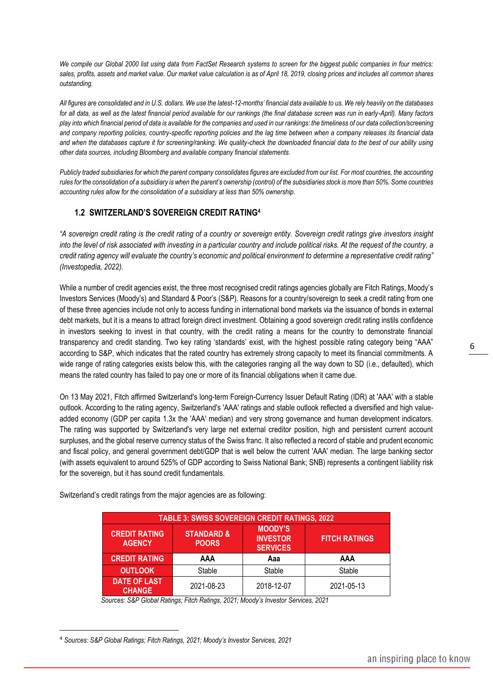*We compile our Global 2000 list using data from FactSet Research systems to screen for the biggest public companies in four metrics: sales, profits, assets and market value. Our market value calculation is as of April 18, 2019, closing prices and includes all common shares outstanding.*

*All figures are consolidated and in U.S. dollars. We use the latest-12-months' financial data available to us. We rely heavily on the databases for all data, as well as the latest financial period available for our rankings (the final database screen was run in early-April). Many factors play into which financial period of data is available for the companies and used in our rankings: the timeliness of our data collection/screening and company reporting policies, country-specific reporting policies and the lag time between when a company releases its financial data and when the databases capture it for screening/ranking. We quality-check the downloaded financial data to the best of our ability using other data sources, including Bloomberg and available company financial statements.*

*Publicly traded subsidiaries for which the parent company consolidates figures are excluded from our list. For most countries, the accounting rules for the consolidation of a subsidiary is when the parent's ownership (control) of the subsidiaries stock is more than 50%. Some countries accounting rules allow for the consolidation of a subsidiary at less than 50% ownership.*

# <span id="page-5-0"></span>**1.2 SWITZERLAND'S SOVEREIGN CREDIT RATING<sup>4</sup>**

*"A sovereign credit rating is the credit rating of a country or sovereign entity. Sovereign credit ratings give investors insight into the level of risk associated with investing in a particular country and include political risks. At the request of the country, a credit rating agency will evaluate the country's economic and political environment to determine a representative credit rating" (Investopedia, 2022).* 

While a number of credit agencies exist, the three most recognised credit ratings agencies globally are Fitch Ratings, Moody's Investors Services (Moody's) and Standard & Poor's (S&P). Reasons for a country/sovereign to seek a credit rating from one of these three agencies include not only to access funding in international bond markets via the issuance of bonds in external debt markets, but it is a means to attract foreign direct investment. Obtaining a good sovereign credit rating instils confidence in investors seeking to invest in that country, with the credit rating a means for the country to demonstrate financial transparency and credit standing. Two key rating 'standards' exist, with the highest possible rating category being "AAA" according to S&P, which indicates that the rated country has extremely strong capacity to meet its financial commitments. A wide range of rating categories exists below this, with the categories ranging all the way down to SD (i.e., defaulted), which means the rated country has failed to pay one or more of its financial obligations when it came due.

On 13 May 2021, Fitch affirmed Switzerland's long-term Foreign-Currency Issuer Default Rating (IDR) at 'AAA' with a stable outlook. According to the rating agency, Switzerland's 'AAA' ratings and stable outlook reflected a diversified and high valueadded economy (GDP per capita 1.3x the 'AAA' median) and very strong governance and human development indicators. The rating was supported by Switzerland's very large net external creditor position, high and persistent current account surpluses, and the global reserve currency status of the Swiss franc. It also reflected a record of stable and prudent economic and fiscal policy, and general government debt/GDP that is well below the current 'AAA' median. The large banking sector (with assets equivalent to around 525% of GDP according to Swiss National Bank; SNB) represents a contingent liability risk for the sovereign, but it has sound credit fundamentals.

Switzerland's credit ratings from the major agencies are as following:

| TABLE 3: SWISS SOVEREIGN CREDIT RATINGS, 2022                                                                                                                  |        |        |        |  |  |  |
|----------------------------------------------------------------------------------------------------------------------------------------------------------------|--------|--------|--------|--|--|--|
| <b>MOODY'S</b><br><b>STANDARD &amp;</b><br><b>CREDIT RATING</b><br><b>INVESTOR</b><br><b>FITCH RATINGS</b><br><b>AGENCY</b><br><b>POORS</b><br><b>SERVICES</b> |        |        |        |  |  |  |
| <b>CREDIT RATING</b>                                                                                                                                           | AAA    | Aaa    | AAA    |  |  |  |
| <b>OUTLOOK</b>                                                                                                                                                 | Stable | Stable | Stable |  |  |  |
| <b>DATE OF LAST</b>                                                                                                                                            |        |        |        |  |  |  |

 *Sources: S&P Global Ratings; Fitch Ratings, 2021; Moody's Investor Services, 2021*

<sup>4</sup> *Sources: S&P Global Ratings; Fitch Ratings, 2021; Moody's Investor Services, 2021*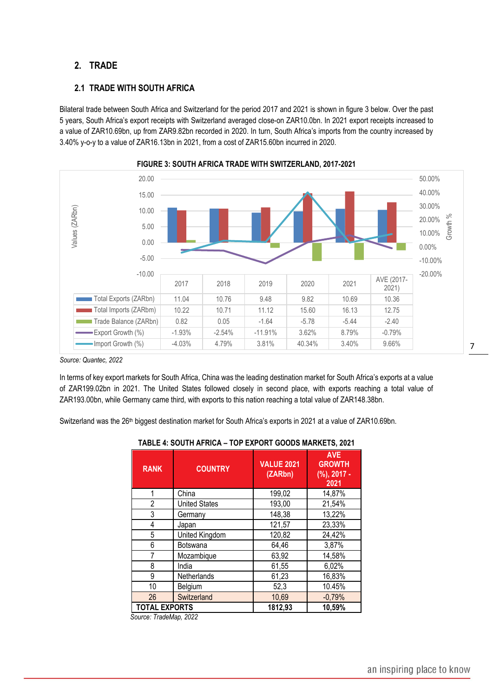# <span id="page-6-0"></span>**2. TRADE**

# <span id="page-6-1"></span>**2.1 TRADE WITH SOUTH AFRICA**

Bilateral trade between South Africa and Switzerland for the period 2017 and 2021 is shown in figure 3 below. Over the past 5 years, South Africa's export receipts with Switzerland averaged close-on ZAR10.0bn. In 2021 export receipts increased to a value of ZAR10.69bn, up from ZAR9.82bn recorded in 2020. In turn, South Africa's imports from the country increased by 3.40% y-o-y to a value of ZAR16.13bn in 2021, from a cost of ZAR15.60bn incurred in 2020.





*Source: Quantec, 2022*

In terms of key export markets for South Africa, China was the leading destination market for South Africa's exports at a value of ZAR199.02bn in 2021. The United States followed closely in second place, with exports reaching a total value of ZAR193.00bn, while Germany came third, with exports to this nation reaching a total value of ZAR148.38bn.

Switzerland was the 26<sup>th</sup> biggest destination market for South Africa's exports in 2021 at a value of ZAR10.69bn.

| <b>RANK</b>          | <b>COUNTRY</b>       | <b>VALUE 2021</b><br>(ZARbn) | <b>AVE</b><br><b>GROWTH</b><br>$(%)$ , 2017 -<br>2021 |
|----------------------|----------------------|------------------------------|-------------------------------------------------------|
| 1                    | China                | 199,02                       | 14,87%                                                |
| 2                    | <b>United States</b> | 193,00                       | 21,54%                                                |
| 3                    | Germany              | 148,38                       | 13,22%                                                |
| 4                    | Japan                | 121,57                       | 23,33%                                                |
| 5                    | United Kingdom       | 120,82                       | 24,42%                                                |
| 6                    | Botswana             | 64,46                        | 3,87%                                                 |
| 7                    | Mozambique           | 63,92                        | 14,58%                                                |
| 8                    | India                | 61,55                        | 6,02%                                                 |
| 9                    | Netherlands          | 61,23                        | 16,83%                                                |
| 10                   | Belgium              | 52,3                         | 10.45%                                                |
| 26                   | Switzerland          | 10,69                        | $-0,79%$                                              |
| <b>TOTAL EXPORTS</b> |                      | 1812,93                      | 10,59%                                                |

#### **TABLE 4: SOUTH AFRICA – TOP EXPORT GOODS MARKETS, 2021**

 *Source: TradeMap, 2022*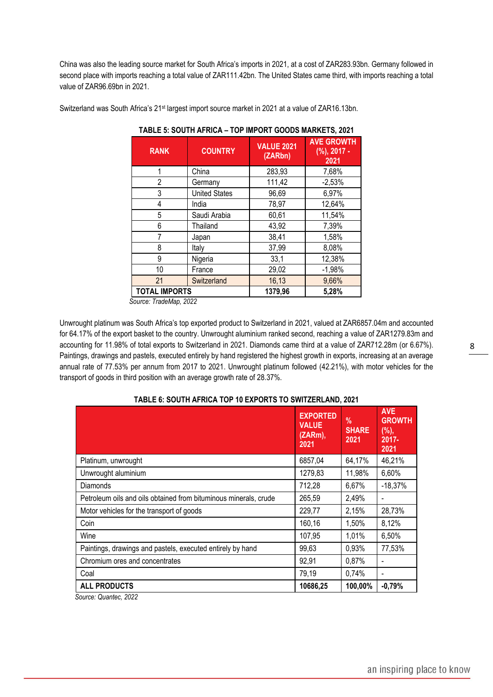China was also the leading source market for South Africa's imports in 2021, at a cost of ZAR283.93bn. Germany followed in second place with imports reaching a total value of ZAR111.42bn. The United States came third, with imports reaching a total value of ZAR96.69bn in 2021.

Switzerland was South Africa's 21<sup>st</sup> largest import source market in 2021 at a value of ZAR16.13bn.

| <b>RANK</b>          | <b>COUNTRY</b>       | <b>VALUE 2021</b><br>(ZARbn) | <b>AVE GROWTH</b><br>$(%)$ , 2017 -<br>2021 |
|----------------------|----------------------|------------------------------|---------------------------------------------|
| 1                    | China                | 283,93                       | 7,68%                                       |
| 2                    | Germany              | 111,42                       | $-2,53%$                                    |
| 3                    | <b>United States</b> | 96,69                        | 6,97%                                       |
| 4                    | India                | 78,97                        | 12,64%                                      |
| 5                    | Saudi Arabia         | 60,61                        | 11,54%                                      |
| 6                    | Thailand             | 43,92                        | 7,39%                                       |
| 7                    | Japan                | 38,41                        | 1,58%                                       |
| 8                    | Italy                | 37,99                        | 8,08%                                       |
| 9                    | Nigeria              | 33,1                         | 12,38%                                      |
| 10                   | France               | 29,02                        | $-1,98%$                                    |
| 21                   | Switzerland          | 16,13                        | 9,66%                                       |
| <b>TOTAL IMPORTS</b> |                      | 1379,96                      | 5,28%                                       |

**TABLE 5: SOUTH AFRICA – TOP IMPORT GOODS MARKETS, 2021**

 *Source: TradeMap, 2022*

Unwrought platinum was South Africa's top exported product to Switzerland in 2021, valued at ZAR6857.04m and accounted for 64.17% of the export basket to the country. Unwrought aluminium ranked second, reaching a value of ZAR1279.83m and accounting for 11.98% of total exports to Switzerland in 2021. Diamonds came third at a value of ZAR712.28m (or 6.67%). Paintings, drawings and pastels, executed entirely by hand registered the highest growth in exports, increasing at an average annual rate of 77.53% per annum from 2017 to 2021. Unwrought platinum followed (42.21%), with motor vehicles for the transport of goods in third position with an average growth rate of 28.37%.

|                                                                  | <b>EXPORTED</b><br><b>VALUE</b><br>(ZARm),<br>2021 | $\frac{0}{0}$<br><b>SHARE</b><br>2021 | <b>AVE</b><br><b>GROWTH</b><br>$(%)$ ,<br>$2017 -$<br>2021 |  |  |
|------------------------------------------------------------------|----------------------------------------------------|---------------------------------------|------------------------------------------------------------|--|--|
| Platinum, unwrought                                              | 6857,04                                            | 64,17%                                | 46,21%                                                     |  |  |
| Unwrought aluminium                                              | 1279,83                                            | 11,98%                                | 6,60%                                                      |  |  |
| <b>Diamonds</b>                                                  | 712,28                                             | 6,67%                                 | $-18,37%$                                                  |  |  |
| Petroleum oils and oils obtained from bituminous minerals, crude | 265,59                                             | 2,49%                                 |                                                            |  |  |
| Motor vehicles for the transport of goods                        | 229,77                                             | 2,15%                                 | 28,73%                                                     |  |  |
| Coin                                                             | 160,16                                             | 1,50%                                 | 8,12%                                                      |  |  |
| Wine                                                             | 107,95                                             | 1,01%                                 | 6,50%                                                      |  |  |
| Paintings, drawings and pastels, executed entirely by hand       | 99,63                                              | 0.93%                                 | 77,53%                                                     |  |  |
| Chromium ores and concentrates                                   | 92,91                                              | 0,87%                                 |                                                            |  |  |
| Coal                                                             | 79,19                                              | 0,74%                                 |                                                            |  |  |
| <b>ALL PRODUCTS</b>                                              | 10686,25                                           | 100,00%                               | $-0.79%$                                                   |  |  |

# **TABLE 6: SOUTH AFRICA TOP 10 EXPORTS TO SWITZERLAND, 2021**

 *Source: Quantec, 2022*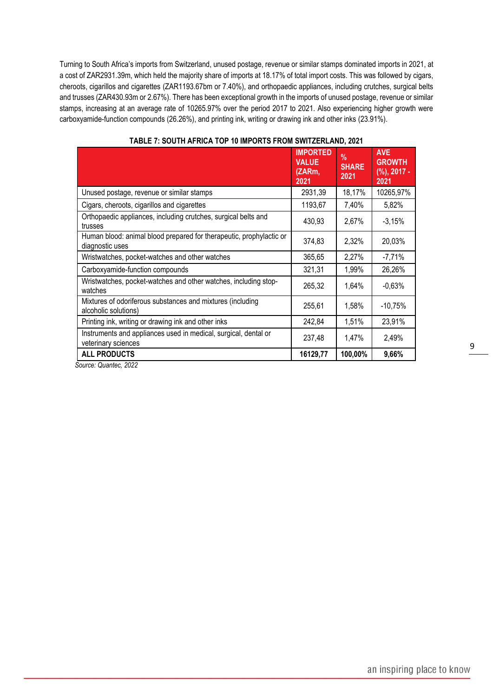Turning to South Africa's imports from Switzerland, unused postage, revenue or similar stamps dominated imports in 2021, at a cost of ZAR2931.39m, which held the majority share of imports at 18.17% of total import costs. This was followed by cigars, cheroots, cigarillos and cigarettes (ZAR1193.67bm or 7.40%), and orthopaedic appliances, including crutches, surgical belts and trusses (ZAR430.93m or 2.67%). There has been exceptional growth in the imports of unused postage, revenue or similar stamps, increasing at an average rate of 10265.97% over the period 2017 to 2021. Also experiencing higher growth were carboxyamide-function compounds (26.26%), and printing ink, writing or drawing ink and other inks (23.91%).

|                                                                                        | <b>IMPORTED</b><br><b>VALUE</b><br>(ZARm,<br>2021 | $\frac{9}{6}$<br><b>SHARE</b><br>2021 | <b>AVE</b><br><b>GROWTH</b><br>$(%)$ , 2017 -<br>2021 |
|----------------------------------------------------------------------------------------|---------------------------------------------------|---------------------------------------|-------------------------------------------------------|
| Unused postage, revenue or similar stamps                                              | 2931,39                                           | 18,17%                                | 10265,97%                                             |
| Cigars, cheroots, cigarillos and cigarettes                                            | 1193,67                                           | 7,40%                                 | 5,82%                                                 |
| Orthopaedic appliances, including crutches, surgical belts and<br>trusses              | 430,93                                            | 2,67%                                 | $-3,15%$                                              |
| Human blood: animal blood prepared for therapeutic, prophylactic or<br>diagnostic uses | 374,83                                            | 2,32%                                 | 20,03%                                                |
| Wristwatches, pocket-watches and other watches                                         | 365,65                                            | 2,27%                                 | $-7,71%$                                              |
| Carboxyamide-function compounds                                                        | 321,31                                            | 1,99%                                 | 26,26%                                                |
| Wristwatches, pocket-watches and other watches, including stop-<br>watches             | 265,32                                            | 1,64%                                 | $-0,63%$                                              |
| Mixtures of odoriferous substances and mixtures (including<br>alcoholic solutions)     | 255,61                                            | 1,58%                                 | $-10,75%$                                             |
| Printing ink, writing or drawing ink and other inks                                    | 242,84                                            | 1,51%                                 | 23,91%                                                |
| Instruments and appliances used in medical, surgical, dental or<br>veterinary sciences | 237,48                                            | 1,47%                                 | 2,49%                                                 |
| <b>ALL PRODUCTS</b>                                                                    | 16129,77                                          | 100,00%                               | 9,66%                                                 |

### **TABLE 7: SOUTH AFRICA TOP 10 IMPORTS FROM SWITZERLAND, 2021**

 *Source: Quantec, 2022*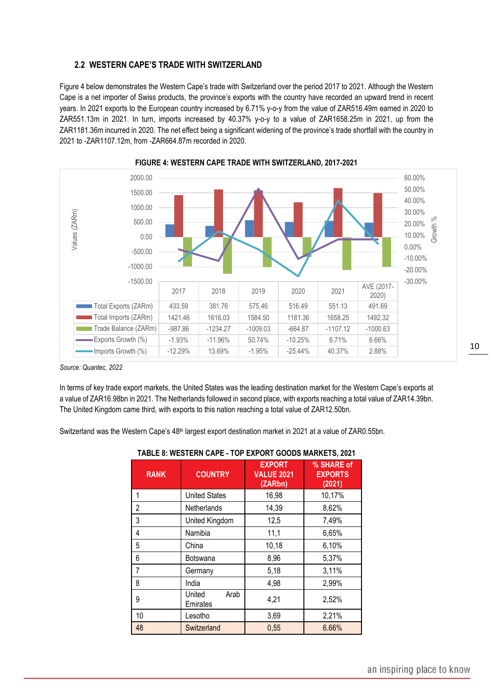#### <span id="page-9-0"></span>**2.2 WESTERN CAPE'S TRADE WITH SWITZERLAND**

Figure 4 below demonstrates the Western Cape's trade with Switzerland over the period 2017 to 2021. Although the Western Cape is a net importer of Swiss products, the province's exports with the country have recorded an upward trend in recent years. In 2021 exports to the European country increased by 6.71% y-o-y from the value of ZAR516.49m earned in 2020 to ZAR551.13m in 2021. In turn, imports increased by 40.37% y-o-y to a value of ZAR1658.25m in 2021, up from the ZAR1181.36m incurred in 2020. The net effect being a significant widening of the province's trade shortfall with the country in 2021 to -ZAR1107.12m, from -ZAR664.87m recorded in 2020.





*Source: Quantec, 2022*

In terms of key trade export markets, the United States was the leading destination market for the Western Cape's exports at a value of ZAR16.98bn in 2021. The Netherlands followed in second place, with exports reaching a total value of ZAR14.39bn. The United Kingdom came third, with exports to this nation reaching a total value of ZAR12.50bn.

Switzerland was the Western Cape's 48<sup>th</sup> largest export destination market in 2021 at a value of ZAR0.55bn.

| <b>RANK</b> | <b>COUNTRY</b>             | <b>EXPORT</b><br><b>VALUE 2021</b><br>(ZARbn) | % SHARE of<br><b>EXPORTS</b><br>(2021) |
|-------------|----------------------------|-----------------------------------------------|----------------------------------------|
|             | <b>United States</b>       | 16,98                                         | 10,17%                                 |
| 2           | Netherlands                | 14,39                                         | 8,62%                                  |
| 3           | United Kingdom             | 12,5                                          | 7,49%                                  |
| 4           | Namibia                    | 11,1                                          | 6,65%                                  |
| 5           | China                      | 10,18                                         | 6,10%                                  |
| 6           | <b>Botswana</b>            | 8,96                                          | 5,37%                                  |
| 7           | Germany                    | 5,18                                          | 3,11%                                  |
| 8           | India                      | 4,98                                          | 2,99%                                  |
| 9           | Arab<br>United<br>Emirates | 4,21                                          | 2,52%                                  |
| 10          | Lesotho                    | 3,69                                          | 2,21%                                  |
| 48          | Switzerland                | 0,55                                          | 6.66%                                  |

|  |  |  | TABLE 8: WESTERN CAPE - TOP EXPORT GOODS MARKETS, 2021 |  |
|--|--|--|--------------------------------------------------------|--|
|  |  |  |                                                        |  |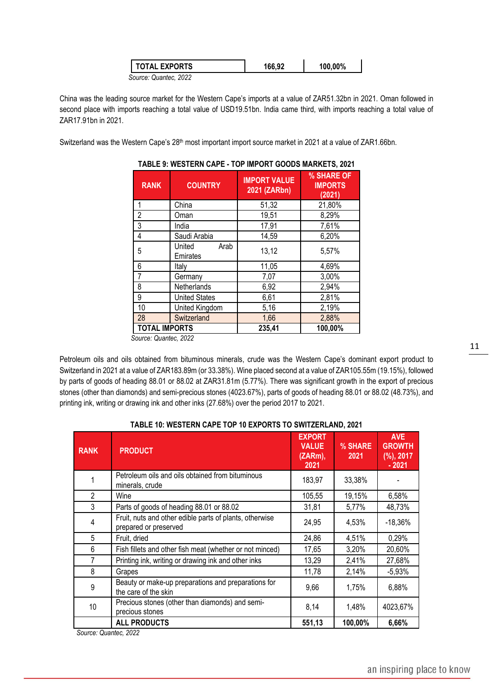| <b>TOTAL EXPORTS</b>  | 166,92 | 100,00% |  |
|-----------------------|--------|---------|--|
| Source: Quantec, 2022 |        |         |  |

China was the leading source market for the Western Cape's imports at a value of ZAR51.32bn in 2021. Oman followed in second place with imports reaching a total value of USD19.51bn. India came third, with imports reaching a total value of ZAR17.91bn in 2021.

Switzerland was the Western Cape's 28<sup>th</sup> most important import source market in 2021 at a value of ZAR1.66bn.

| <b>RANK</b>          | <b>COUNTRY</b>             | <b>IMPORT VALUE</b><br>2021 (ZARbn) | % SHARE OF<br><b>IMPORTS</b><br>(2021) |
|----------------------|----------------------------|-------------------------------------|----------------------------------------|
|                      | China                      | 51,32                               | 21,80%                                 |
| 2                    | Oman                       | 19,51                               | 8,29%                                  |
| 3                    | India                      | 17,91                               | 7,61%                                  |
| 4                    | Saudi Arabia               | 14,59                               | 6,20%                                  |
| 5                    | United<br>Arab<br>Emirates | 13,12                               | 5,57%                                  |
| 6                    | Italv                      | 11,05                               | 4,69%                                  |
|                      | Germany                    | 7,07                                | 3,00%                                  |
| 8                    | Netherlands                | 6,92                                | 2,94%                                  |
| 9                    | <b>United States</b>       | 6,61                                | 2,81%                                  |
| 10                   | United Kingdom             | 5,16                                | 2,19%                                  |
| 28                   | Switzerland                | 1,66                                | 2,88%                                  |
| <b>TOTAL IMPORTS</b> |                            | 235,41                              | 100,00%                                |

#### **TABLE 9: WESTERN CAPE - TOP IMPORT GOODS MARKETS, 2021**

 *Source: Quantec, 2022*

Petroleum oils and oils obtained from bituminous minerals, crude was the Western Cape's dominant export product to Switzerland in 2021 at a value of ZAR183.89m (or 33.38%). Wine placed second at a value of ZAR105.55m (19.15%), followed by parts of goods of heading 88.01 or 88.02 at ZAR31.81m (5.77%). There was significant growth in the export of precious stones (other than diamonds) and semi-precious stones (4023.67%), parts of goods of heading 88.01 or 88.02 (48.73%), and printing ink, writing or drawing ink and other inks (27.68%) over the period 2017 to 2021.

| <b>RANK</b>    | <b>PRODUCT</b>                                                                   | <b>EXPORT</b><br><b>VALUE</b><br>(ZARm),<br>2021 | % SHARE<br>2021 | <b>AVE</b><br><b>GROWTH</b><br>$(%)$ , 2017<br>$-2021$ |
|----------------|----------------------------------------------------------------------------------|--------------------------------------------------|-----------------|--------------------------------------------------------|
|                | Petroleum oils and oils obtained from bituminous<br>minerals, crude              | 183,97                                           | 33,38%          |                                                        |
| $\overline{2}$ | Wine                                                                             | 105,55                                           | 19,15%          | 6,58%                                                  |
| 3              | Parts of goods of heading 88.01 or 88.02                                         | 31,81                                            | 5,77%           | 48,73%                                                 |
| 4              | Fruit, nuts and other edible parts of plants, otherwise<br>prepared or preserved | 24,95                                            | 4,53%           | -18,36%                                                |
| 5              | Fruit, dried                                                                     | 24,86                                            | 4,51%           | 0,29%                                                  |
| 6              | Fish fillets and other fish meat (whether or not minced)                         | 17,65                                            | 3,20%           | 20,60%                                                 |
| $\overline{7}$ | Printing ink, writing or drawing ink and other inks                              | 13,29                                            | 2,41%           | 27,68%                                                 |
| 8              | Grapes                                                                           | 11,78                                            | 2,14%           | $-5,93%$                                               |
| 9              | Beauty or make-up preparations and preparations for<br>the care of the skin      | 9,66                                             | 1,75%           | 6,88%                                                  |
| 10             | Precious stones (other than diamonds) and semi-<br>precious stones               | 8,14                                             | 1,48%           | 4023,67%                                               |
|                | <b>ALL PRODUCTS</b>                                                              | 551,13                                           | 100,00%         | 6,66%                                                  |

#### **TABLE 10: WESTERN CAPE TOP 10 EXPORTS TO SWITZERLAND, 2021**

 *Source: Quantec, 2022*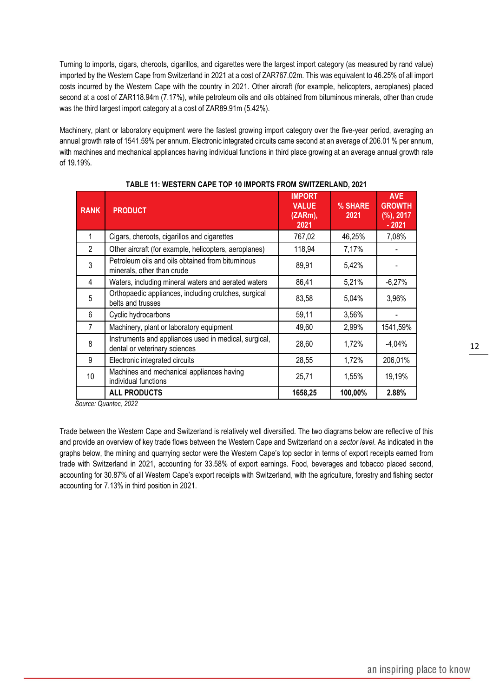Turning to imports, cigars, cheroots, cigarillos, and cigarettes were the largest import category (as measured by rand value) imported by the Western Cape from Switzerland in 2021 at a cost of ZAR767.02m. This was equivalent to 46.25% of all import costs incurred by the Western Cape with the country in 2021. Other aircraft (for example, helicopters, aeroplanes) placed second at a cost of ZAR118.94m (7.17%), while petroleum oils and oils obtained from bituminous minerals, other than crude was the third largest import category at a cost of ZAR89.91m (5.42%).

Machinery, plant or laboratory equipment were the fastest growing import category over the five-year period, averaging an annual growth rate of 1541.59% per annum. Electronic integrated circuits came second at an average of 206.01 % per annum, with machines and mechanical appliances having individual functions in third place growing at an average annual growth rate of 19.19%.

| <b>RANK</b>    | <b>PRODUCT</b>                                                                         | <b>IMPORT</b><br><b>VALUE</b><br>(ZARm),<br>2021 | % SHARE<br>2021 | <b>AVE</b><br><b>GROWTH</b><br>$(\%)$ , 2017<br>$-2021$ |
|----------------|----------------------------------------------------------------------------------------|--------------------------------------------------|-----------------|---------------------------------------------------------|
| 1              | Cigars, cheroots, cigarillos and cigarettes                                            | 767,02                                           | 46,25%          | 7,08%                                                   |
| $\mathfrak{p}$ | Other aircraft (for example, helicopters, aeroplanes)                                  | 118,94                                           | 7,17%           |                                                         |
| 3              | Petroleum oils and oils obtained from bituminous<br>minerals, other than crude         | 89,91                                            | 5,42%           |                                                         |
| 4              | Waters, including mineral waters and aerated waters                                    | 86,41                                            | 5,21%           | $-6,27%$                                                |
| 5              | Orthopaedic appliances, including crutches, surgical<br>belts and trusses              | 83,58                                            | 5,04%           | 3,96%                                                   |
| 6              | Cyclic hydrocarbons                                                                    | 59,11                                            | 3,56%           |                                                         |
| 7              | Machinery, plant or laboratory equipment                                               | 49,60                                            | 2,99%           | 1541,59%                                                |
| 8              | Instruments and appliances used in medical, surgical,<br>dental or veterinary sciences | 28,60                                            | 1,72%           | $-4,04%$                                                |
| 9              | Electronic integrated circuits                                                         | 28,55                                            | 1,72%           | 206,01%                                                 |
| 10             | Machines and mechanical appliances having<br>individual functions                      | 25,71                                            | 1,55%           | 19,19%                                                  |
|                | <b>ALL PRODUCTS</b>                                                                    | 1658,25                                          | 100,00%         | 2.88%                                                   |

#### **TABLE 11: WESTERN CAPE TOP 10 IMPORTS FROM SWITZERLAND, 2021**

 *Source: Quantec, 2022*

Trade between the Western Cape and Switzerland is relatively well diversified. The two diagrams below are reflective of this and provide an overview of key trade flows between the Western Cape and Switzerland on a *sector level*. As indicated in the graphs below, the mining and quarrying sector were the Western Cape's top sector in terms of export receipts earned from trade with Switzerland in 2021, accounting for 33.58% of export earnings. Food, beverages and tobacco placed second, accounting for 30.87% of all Western Cape's export receipts with Switzerland, with the agriculture, forestry and fishing sector accounting for 7.13% in third position in 2021.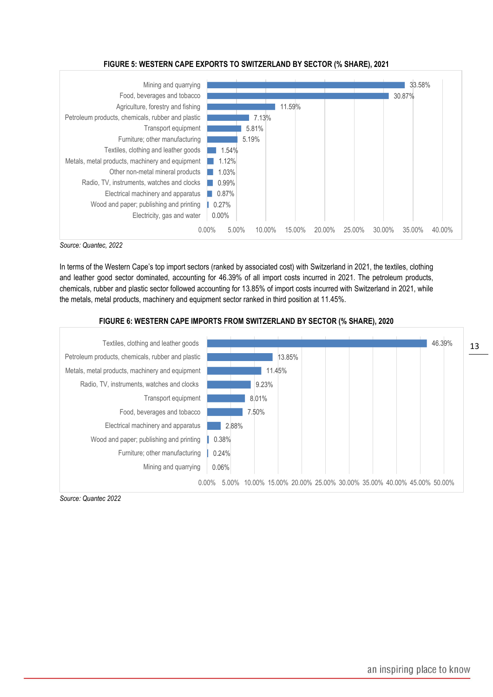#### **FIGURE 5: WESTERN CAPE EXPORTS TO SWITZERLAND BY SECTOR (% SHARE), 2021**



*Source: Quantec, 2022*

In terms of the Western Cape's top import sectors (ranked by associated cost) with Switzerland in 2021, the textiles, clothing and leather good sector dominated, accounting for 46.39% of all import costs incurred in 2021. The petroleum products, chemicals, rubber and plastic sector followed accounting for 13.85% of import costs incurred with Switzerland in 2021, while the metals, metal products, machinery and equipment sector ranked in third position at 11.45%.

#### **FIGURE 6: WESTERN CAPE IMPORTS FROM SWITZERLAND BY SECTOR (% SHARE), 2020**



*Source: Quantec 2022*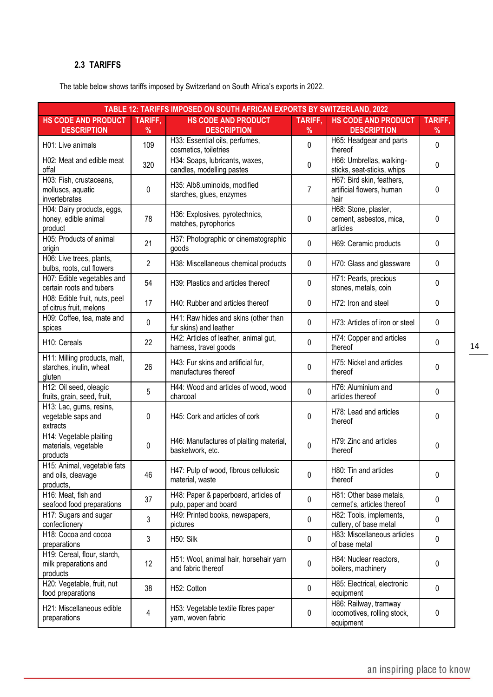# <span id="page-13-0"></span>**2.3 TARIFFS**

The table below shows tariffs imposed by Switzerland on South Africa's exports in 2022.

| TABLE 12: TARIFFS IMPOSED ON SOUTH AFRICAN EXPORTS BY SWITZERLAND, 2022                    |                |                                                                |                                                   |                                                                   |         |  |  |
|--------------------------------------------------------------------------------------------|----------------|----------------------------------------------------------------|---------------------------------------------------|-------------------------------------------------------------------|---------|--|--|
| <b>HS CODE AND PRODUCT</b>                                                                 | TARIFF,        | <b>HS CODE AND PRODUCT</b>                                     | TARIFF,                                           | <b>HS CODE AND PRODUCT</b>                                        | TARIFF, |  |  |
| <b>DESCRIPTION</b>                                                                         | %              | <b>DESCRIPTION</b>                                             | %                                                 | <b>DESCRIPTION</b>                                                | %       |  |  |
| 109<br>H01: Live animals                                                                   |                | H33: Essential oils, perfumes,<br>cosmetics, toiletries        | 0                                                 | H65: Headgear and parts<br>thereof                                | 0       |  |  |
| H02: Meat and edible meat<br>offal                                                         | 320            | H34: Soaps, lubricants, waxes,<br>candles, modelling pastes    | 0                                                 | H66: Umbrellas, walking-<br>sticks, seat-sticks, whips            | 0       |  |  |
| H03: Fish, crustaceans,<br>molluscs, aquatic<br>invertebrates                              | 0              | H35: Alb8.uminoids, modified<br>starches, glues, enzymes       | 7                                                 | H67: Bird skin, feathers,<br>artificial flowers, human<br>hair    | 0       |  |  |
| H04: Dairy products, eggs,<br>honey, edible animal<br>product                              | 78             | H36: Explosives, pyrotechnics,<br>matches, pyrophorics         | 0                                                 | H68: Stone, plaster,<br>cement, asbestos, mica,<br>articles       | 0       |  |  |
| H05: Products of animal<br>origin                                                          | 21             | H37: Photographic or cinematographic<br>goods                  | $\mathbf 0$                                       | H69: Ceramic products                                             | 0       |  |  |
| H06: Live trees, plants,<br>bulbs, roots, cut flowers                                      | $\overline{2}$ | H38: Miscellaneous chemical products                           | 0                                                 | H70: Glass and glassware                                          | 0       |  |  |
| H07: Edible vegetables and<br>certain roots and tubers                                     | 54             | H39: Plastics and articles thereof                             | 0                                                 | H71: Pearls, precious<br>stones, metals, coin                     | 0       |  |  |
| H08: Edible fruit, nuts, peel<br>of citrus fruit, melons                                   | 17             | H40: Rubber and articles thereof                               | 0                                                 | H72: Iron and steel                                               | 0       |  |  |
| H09: Coffee, tea, mate and<br>spices                                                       | $\mathbf 0$    | H41: Raw hides and skins (other than<br>fur skins) and leather | 0                                                 | H73: Articles of iron or steel                                    | 0       |  |  |
| H10: Cereals                                                                               | 22             | H42: Articles of leather, animal gut,<br>harness, travel goods | 0                                                 | H74: Copper and articles<br>thereof                               | 0       |  |  |
| H11: Milling products, malt,<br>starches, inulin, wheat<br>gluten                          | 26             | H43: Fur skins and artificial fur,<br>manufactures thereof     | 0                                                 | H75: Nickel and articles<br>thereof                               | 0       |  |  |
| H12: Oil seed, oleagic<br>fruits, grain, seed, fruit,                                      | 5              | H44: Wood and articles of wood, wood<br>charcoal               | 0                                                 | H76: Aluminium and<br>articles thereof                            | 0       |  |  |
| H13: Lac, gums, resins,<br>vegetable saps and<br>extracts                                  | 0              | H45: Cork and articles of cork                                 | 0                                                 | H78: Lead and articles<br>thereof                                 | 0       |  |  |
| H14: Vegetable plaiting<br>0<br>materials, vegetable<br>products                           |                | H46: Manufactures of plaiting material,<br>basketwork, etc.    | 0                                                 | H79: Zinc and articles<br>thereof                                 | 0       |  |  |
| H15: Animal, vegetable fats<br>and oils, cleavage<br>46<br>products.                       |                | H47: Pulp of wood, fibrous cellulosic<br>material, waste       | $\mathbf 0$                                       | H80: Tin and articles<br>thereof                                  | 0       |  |  |
| H16: Meat, fish and<br>seafood food preparations                                           | 37             | H48: Paper & paperboard, articles of<br>pulp, paper and board  | $\pmb{0}$                                         | H81: Other base metals,<br>cermet's, articles thereof             | 0       |  |  |
| H17: Sugars and sugar<br>H49: Printed books, newspapers,<br>3<br>confectionery<br>pictures |                | 0                                                              | H82: Tools, implements,<br>cutlery, of base metal | 0                                                                 |         |  |  |
| H18: Cocoa and cocoa<br>preparations                                                       | 3              | H50: Silk                                                      | $\pmb{0}$                                         | H83: Miscellaneous articles<br>of base metal                      | 0       |  |  |
| H19: Cereal, flour, starch,<br>12<br>milk preparations and<br>products                     |                | H51: Wool, animal hair, horsehair yarn<br>and fabric thereof   | 0                                                 | H84: Nuclear reactors,<br>boilers, machinery                      | 0       |  |  |
| H20: Vegetable, fruit, nut<br>38<br>H52: Cotton<br>food preparations                       |                | 0                                                              | H85: Electrical, electronic<br>equipment          | 0                                                                 |         |  |  |
| H21: Miscellaneous edible<br>preparations                                                  | 4              | H53: Vegetable textile fibres paper<br>yarn, woven fabric      | $\pmb{0}$                                         | H86: Railway, tramway<br>locomotives, rolling stock,<br>equipment | 0       |  |  |

14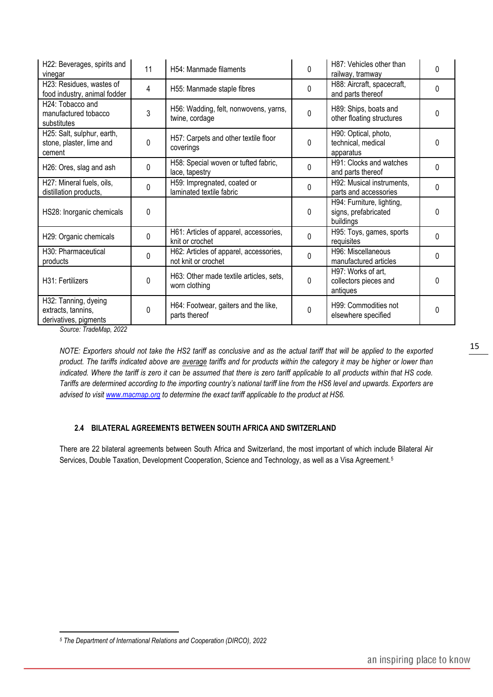| H22: Beverages, spirits and<br>vinegar                                                      | 11 | H54: Manmade filaments                                        | 0                                               | H87: Vehicles other than<br>railway, tramway                   | 0            |
|---------------------------------------------------------------------------------------------|----|---------------------------------------------------------------|-------------------------------------------------|----------------------------------------------------------------|--------------|
| H23: Residues, wastes of<br>4<br>H55: Manmade staple fibres<br>food industry, animal fodder |    | 0                                                             | H88: Aircraft, spacecraft,<br>and parts thereof | $\Omega$                                                       |              |
| H <sub>24</sub> : Tobacco and<br>manufactured tobacco<br>substitutes                        | 3  | H56: Wadding, felt, nonwovens, yarns,<br>twine, cordage       | $\Omega$                                        | H89: Ships, boats and<br>other floating structures             | 0            |
| H25: Salt, sulphur, earth,<br>stone, plaster, lime and<br>cement                            | 0  | H57: Carpets and other textile floor<br>coverings             | $\Omega$                                        | H90: Optical, photo,<br>technical, medical<br>apparatus        | 0            |
| H26: Ores, slag and ash                                                                     | 0  | H58: Special woven or tufted fabric,<br>lace, tapestry        | $\Omega$                                        | H91: Clocks and watches<br>and parts thereof                   | $\Omega$     |
| H27: Mineral fuels, oils,<br>distillation products,                                         | 0  | H59: Impregnated, coated or<br>laminated textile fabric       | 0                                               | H92: Musical instruments,<br>parts and accessories             | 0            |
| HS28: Inorganic chemicals                                                                   | 0  |                                                               | $\Omega$                                        | H94: Furniture, lighting,<br>signs, prefabricated<br>buildings | $\Omega$     |
| H29: Organic chemicals                                                                      | 0  | H61: Articles of apparel, accessories,<br>knit or crochet     | 0                                               | H95: Toys, games, sports<br>requisites                         | 0            |
| H30: Pharmaceutical<br>products                                                             | 0  | H62: Articles of apparel, accessories,<br>not knit or crochet | $\Omega$                                        | H96: Miscellaneous<br>manufactured articles                    | 0            |
| H31: Fertilizers                                                                            | 0  | H63: Other made textile articles, sets,<br>worn clothing      | $\Omega$                                        | H97: Works of art,<br>collectors pieces and<br>antiques        | $\Omega$     |
| H32: Tanning, dyeing<br>extracts, tannins,<br>derivatives, pigments                         | 0  | H64: Footwear, gaiters and the like,<br>parts thereof         | 0                                               | H99: Commodities not<br>elsewhere specified                    | <sup>0</sup> |

*Source: TradeMap, 2022*

*NOTE: Exporters should not take the HS2 tariff as conclusive and as the actual tariff that will be applied to the exported product. The tariffs indicated above are average tariffs and for products within the category it may be higher or lower than indicated. Where the tariff is zero it can be assumed that there is zero tariff applicable to all products within that HS code. Tariffs are determined according to the importing country's national tariff line from the HS6 level and upwards. Exporters are advised to visit [www.macmap.org](http://www.macmap.org/) to determine the exact tariff applicable to the product at HS6.*

#### <span id="page-14-0"></span>**2.4 BILATERAL AGREEMENTS BETWEEN SOUTH AFRICA AND SWITZERLAND**

There are 22 bilateral agreements between South Africa and Switzerland, the most important of which include Bilateral Air Services, Double Taxation, Development Cooperation, Science and Technology, as well as a Visa Agreement.<sup>5</sup>

*<sup>5</sup> The Department of International Relations and Cooperation (DIRCO), 2022*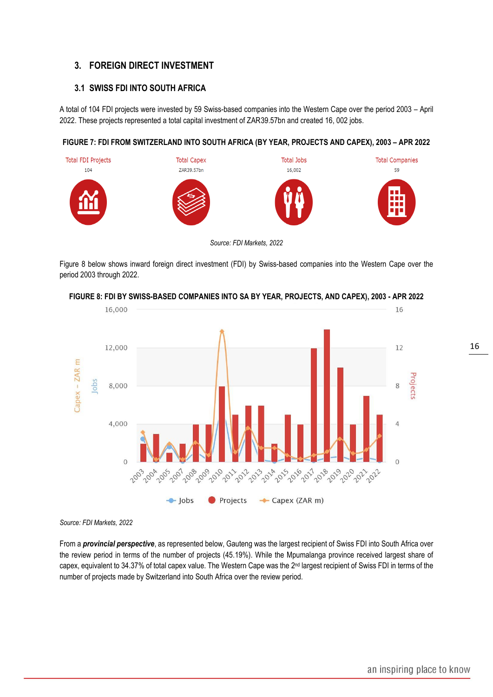# <span id="page-15-0"></span>**3. FOREIGN DIRECT INVESTMENT**

# <span id="page-15-1"></span>**3.1 SWISS FDI INTO SOUTH AFRICA**

A total of 104 FDI projects were invested by 59 Swiss-based companies into the Western Cape over the period 2003 – April 2022. These projects represented a total capital investment of ZAR39.57bn and created 16, 002 jobs.

#### **FIGURE 7: FDI FROM SWITZERLAND INTO SOUTH AFRICA (BY YEAR, PROJECTS AND CAPEX), 2003 – APR 2022**



*Source: FDI Markets, 2022*

Figure 8 below shows inward foreign direct investment (FDI) by Swiss-based companies into the Western Cape over the period 2003 through 2022.



**FIGURE 8: FDI BY SWISS-BASED COMPANIES INTO SA BY YEAR, PROJECTS, AND CAPEX), 2003 - APR 2022**

*Source: FDI Markets, 2022*

From a *provincial perspective*, as represented below, Gauteng was the largest recipient of Swiss FDI into South Africa over the review period in terms of the number of projects (45.19%). While the Mpumalanga province received largest share of capex, equivalent to 34.37% of total capex value. The Western Cape was the 2<sup>nd</sup> largest recipient of Swiss FDI in terms of the number of projects made by Switzerland into South Africa over the review period.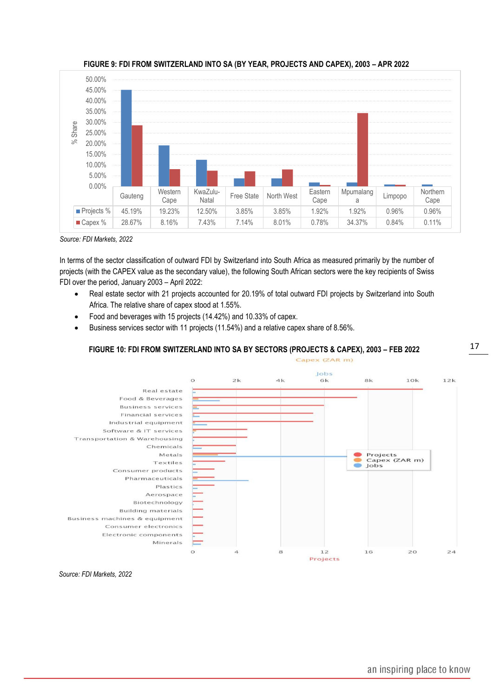

**FIGURE 9: FDI FROM SWITZERLAND INTO SA (BY YEAR, PROJECTS AND CAPEX), 2003 – APR 2022**

*Source: FDI Markets, 2022*

In terms of the sector classification of outward FDI by Switzerland into South Africa as measured primarily by the number of projects (with the CAPEX value as the secondary value), the following South African sectors were the key recipients of Swiss FDI over the period, January 2003 – April 2022:

- Real estate sector with 21 projects accounted for 20.19% of total outward FDI projects by Switzerland into South Africa. The relative share of capex stood at 1.55%.
- Food and beverages with 15 projects (14.42%) and 10.33% of capex.
- Business services sector with 11 projects (11.54%) and a relative capex share of 8.56%.

#### **FIGURE 10: FDI FROM SWITZERLAND INTO SA BY SECTORS (PROJECTS & CAPEX), 2003 – FEB 2022**



 *Source: FDI Markets, 2022*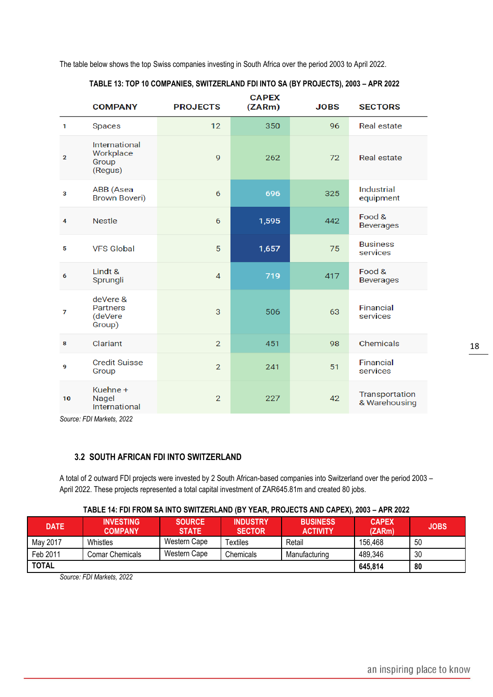The table below shows the top Swiss companies investing in South Africa over the period 2003 to April 2022.

|              | <b>COMPANY</b>                                   | <b>PROJECTS</b> | <b>CAPEX</b><br>(ZARM) | <b>JOBS</b> | <b>SECTORS</b>                  |
|--------------|--------------------------------------------------|-----------------|------------------------|-------------|---------------------------------|
| $\mathbf{1}$ | Spaces                                           | 12              | 350                    | 96          | <b>Real estate</b>              |
| $\mathbf{2}$ | International<br>Workplace<br>Group<br>(Regus)   | 9               | 262                    | 72          | Real estate                     |
| 3            | ABB (Asea<br><b>Brown Boveri)</b>                | 6               | 696                    | 325         | Industrial<br>equipment         |
| 4            | <b>Nestle</b>                                    | 6               | 1,595                  | 442         | Food &<br><b>Beverages</b>      |
| 5            | <b>VFS Global</b>                                | 5               | 1,657                  | 75          | <b>Business</b><br>services     |
| 6            | $Lindt$ &<br>Sprungli                            | 4               | 719                    | 417         | Food &<br><b>Beverages</b>      |
| 7            | deVere &<br><b>Partners</b><br>(deVere<br>Group) | 3               | 506                    | 63          | Financial<br>services           |
| 8            | Clariant                                         | $\overline{2}$  | 451                    | 98          | Chemicals                       |
| 9            | <b>Credit Suisse</b><br>Group                    | $\overline{2}$  | 241                    | 51          | Financial<br>services           |
| 10           | Kuehne +<br>Nagel<br>International               | $\overline{2}$  | 227                    | 42          | Transportation<br>& Warehousing |

#### **TABLE 13: TOP 10 COMPANIES, SWITZERLAND FDI INTO SA (BY PROJECTS), 2003 – APR 2022**

*Source: FDI Markets, 2022*

# <span id="page-17-0"></span>**3.2 SOUTH AFRICAN FDI INTO SWITZERLAND**

A total of 2 outward FDI projects were invested by 2 South African-based companies into Switzerland over the period 2003 – April 2022. These projects represented a total capital investment of ZAR645.81m and created 80 jobs.

#### **TABLE 14: FDI FROM SA INTO SWITZERLAND (BY YEAR, PROJECTS AND CAPEX), 2003 – APR 2022**

| <b>DATE</b>  | <b>INVESTING</b><br><b>COMPANY</b> | <b>SOURCE</b><br><b>STATE</b> | <b>INDUSTRY</b><br><b>SECTOR</b> | <b>BUSINESS</b><br><b>ACTIVITY</b> | <b>CAPEX</b><br>(ZARm) | <b>JOBS</b> |
|--------------|------------------------------------|-------------------------------|----------------------------------|------------------------------------|------------------------|-------------|
| May 2017     | Whistles                           | Western Cape                  | Textiles                         | Retail                             | 156,468                | 50          |
| Feb 2011     | Comar Chemicals                    | Western Cape                  | Chemicals                        | Manufacturing                      | 489,346                | 30          |
| <b>TOTAL</b> |                                    |                               |                                  |                                    | 645,814                | 80          |

*Source: FDI Markets, 2022*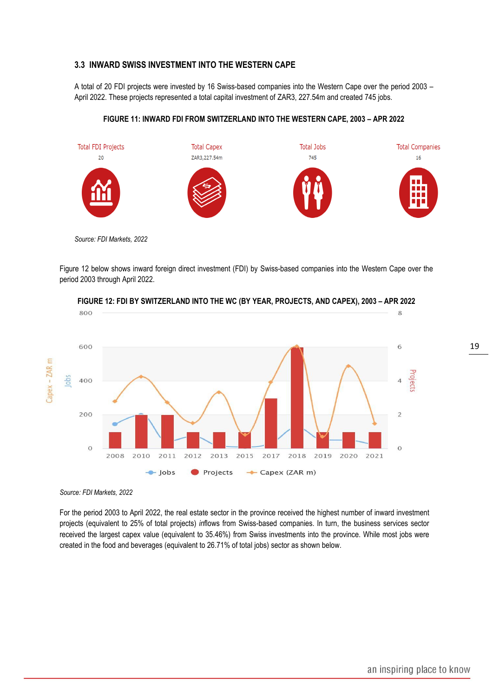#### <span id="page-18-0"></span>**3.3 INWARD SWISS INVESTMENT INTO THE WESTERN CAPE**

A total of 20 FDI projects were invested by 16 Swiss-based companies into the Western Cape over the period 2003 – April 2022. These projects represented a total capital investment of ZAR3, 227.54m and created 745 jobs.

#### **FIGURE 11: INWARD FDI FROM SWITZERLAND INTO THE WESTERN CAPE, 2003 – APR 2022**



*Source: FDI Markets, 2022*

Figure 12 below shows inward foreign direct investment (FDI) by Swiss-based companies into the Western Cape over the period 2003 through April 2022.



**FIGURE 12: FDI BY SWITZERLAND INTO THE WC (BY YEAR, PROJECTS, AND CAPEX), 2003 – APR 2022**

*Source: FDI Markets, 2022*

For the period 2003 to April 2022, the real estate sector in the province received the highest number of inward investment projects (equivalent to 25% of total projects) *in*flows from Swiss-based companies. In turn, the business services sector received the largest capex value (equivalent to 35.46%) from Swiss investments into the province. While most jobs were created in the food and beverages (equivalent to 26.71% of total jobs) sector as shown below.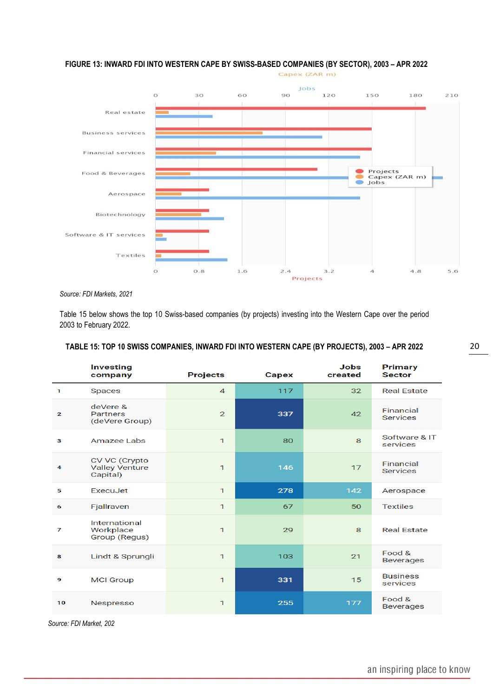### **FIGURE 13: INWARD FDI INTO WESTERN CAPE BY SWISS-BASED COMPANIES (BY SECTOR), 2003 – APR 2022**



*Source: FDI Markets, 2021*

Table 15 below shows the top 10 Swiss-based companies (by projects) investing into the Western Cape over the period 2003 to February 2022.

#### **TABLE 15: TOP 10 SWISS COMPANIES, INWARD FDI INTO WESTERN CAPE (BY PROJECTS), 2003 – APR 2022**

|                | <b>Investing</b><br>company                        | <b>Projects</b> | <b>Capex</b> | <b>Jobs</b><br>created | <b>Primary</b><br><b>Sector</b> |
|----------------|----------------------------------------------------|-----------------|--------------|------------------------|---------------------------------|
| 1              | <b>Spaces</b>                                      | $\overline{4}$  | 117          | 32                     | <b>Real Estate</b>              |
| $\overline{2}$ | deVere &<br><b>Partners</b><br>(deVere Group)      | $\mathbf{2}$    | 337          | 42                     | Financial<br><b>Services</b>    |
| з              | Amazee Labs                                        | $\mathbf{1}$    | 80           | 8                      | Software & IT<br>services       |
| 4              | CV VC (Crypto<br><b>Valley Venture</b><br>Capital) | $\mathbf{1}$    | 146          | 17                     | Financial<br><b>Services</b>    |
| 5              | ExecuJet                                           | $\mathbf{1}$    | 278          | 142                    | Aerospace                       |
| 6              | Fjallraven                                         | $\mathbf{1}$    | 67           | 50                     | <b>Textiles</b>                 |
| 7              | <b>International</b><br>Workplace<br>Group (Regus) | $\mathbf{1}$    | 29           | 8                      | <b>Real Estate</b>              |
| 8              | Lindt & Sprungli                                   | $\mathbf{1}$    | 103          | 21                     | Food &<br><b>Beverages</b>      |
| 9              | <b>MCI Group</b>                                   | $\mathbf{1}$    | 331          | 15                     | <b>Business</b><br>services     |
| 10             | Nespresso                                          | $\mathbf 1$     | 255          | 177                    | Food &<br><b>Beverages</b>      |

*Source: FDI Market, 202*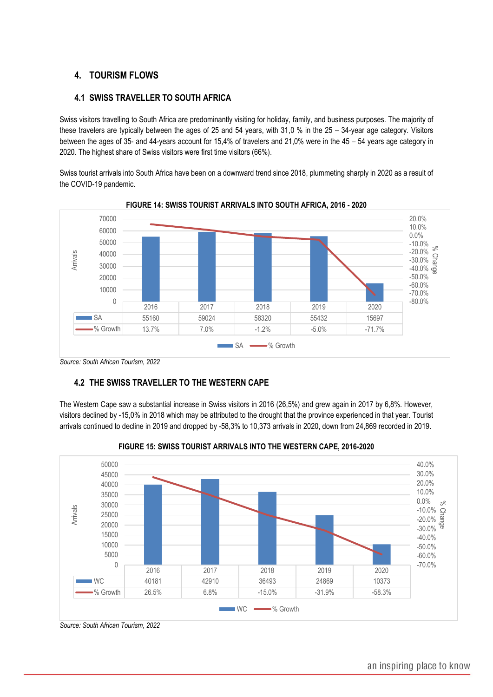# <span id="page-20-0"></span>**4. TOURISM FLOWS**

# <span id="page-20-1"></span>**4.1 SWISS TRAVELLER TO SOUTH AFRICA**

Swiss visitors travelling to South Africa are predominantly visiting for holiday, family, and business purposes. The majority of these travelers are typically between the ages of 25 and 54 years, with 31,0 % in the 25 – 34-year age category. Visitors between the ages of 35- and 44-years account for 15,4% of travelers and 21,0% were in the 45 – 54 years age category in 2020. The highest share of Swiss visitors were first time visitors (66%).

Swiss tourist arrivals into South Africa have been on a downward trend since 2018, plummeting sharply in 2020 as a result of the COVID-19 pandemic.



**FIGURE 14: SWISS TOURIST ARRIVALS INTO SOUTH AFRICA, 2016 - 2020**

*Source: South African Tourism, 2022*

# <span id="page-20-2"></span> **4.2 THE SWISS TRAVELLER TO THE WESTERN CAPE**

The Western Cape saw a substantial increase in Swiss visitors in 2016 (26,5%) and grew again in 2017 by 6,8%. However, visitors declined by -15,0% in 2018 which may be attributed to the drought that the province experienced in that year. Tourist arrivals continued to decline in 2019 and dropped by -58,3% to 10,373 arrivals in 2020, down from 24,869 recorded in 2019.



**FIGURE 15: SWISS TOURIST ARRIVALS INTO THE WESTERN CAPE, 2016-2020**

*Source: South African Tourism, 2022*